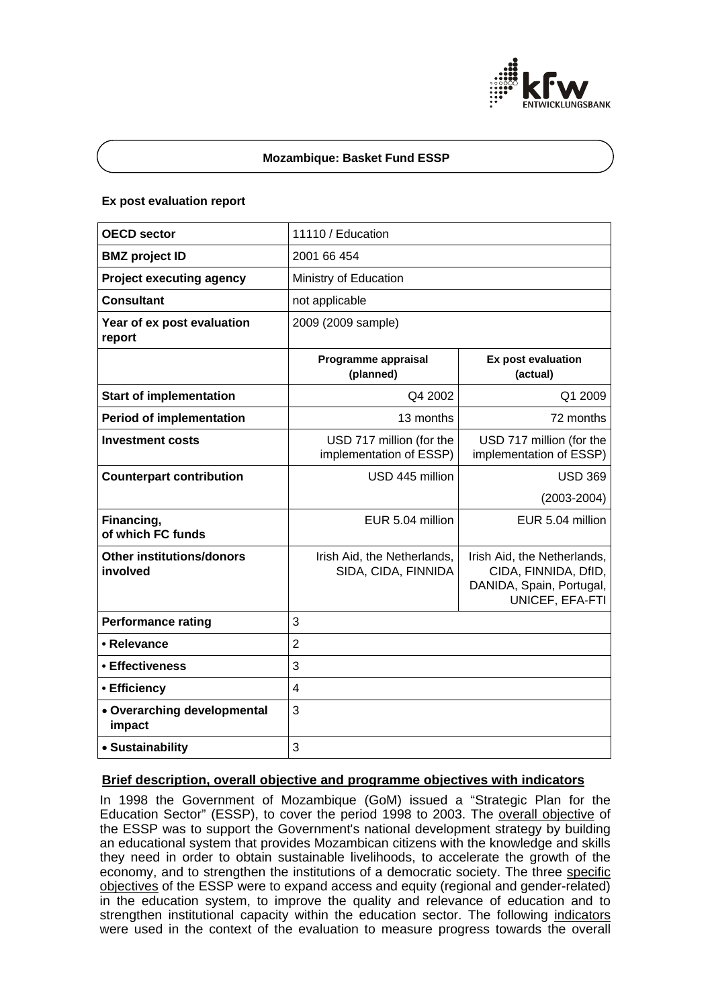

# **Mozambique: Basket Fund ESSP**

## **Ex post evaluation report**

| <b>OECD sector</b>                           | 11110 / Education                                   |                                                                                                    |
|----------------------------------------------|-----------------------------------------------------|----------------------------------------------------------------------------------------------------|
| <b>BMZ</b> project ID                        | 2001 66 454                                         |                                                                                                    |
| <b>Project executing agency</b>              | Ministry of Education                               |                                                                                                    |
| <b>Consultant</b>                            | not applicable                                      |                                                                                                    |
| Year of ex post evaluation<br>report         | 2009 (2009 sample)                                  |                                                                                                    |
|                                              | Programme appraisal<br>(planned)                    | Ex post evaluation<br>(actual)                                                                     |
| <b>Start of implementation</b>               | Q4 2002                                             | Q1 2009                                                                                            |
| <b>Period of implementation</b>              | 13 months                                           | 72 months                                                                                          |
| <b>Investment costs</b>                      | USD 717 million (for the<br>implementation of ESSP) | USD 717 million (for the<br>implementation of ESSP)                                                |
| <b>Counterpart contribution</b>              | USD 445 million                                     | <b>USD 369</b>                                                                                     |
|                                              |                                                     | $(2003 - 2004)$                                                                                    |
| Financing,<br>of which FC funds              | EUR 5.04 million                                    | EUR 5.04 million                                                                                   |
| <b>Other institutions/donors</b><br>involved | Irish Aid, the Netherlands,<br>SIDA, CIDA, FINNIDA  | Irish Aid, the Netherlands,<br>CIDA, FINNIDA, DfID,<br>DANIDA, Spain, Portugal,<br>UNICEF, EFA-FTI |
| <b>Performance rating</b>                    | 3                                                   |                                                                                                    |
| • Relevance                                  | $\overline{2}$                                      |                                                                                                    |
| • Effectiveness                              | 3                                                   |                                                                                                    |
| • Efficiency                                 | $\overline{\mathbf{4}}$                             |                                                                                                    |
| • Overarching developmental<br>impact        | 3                                                   |                                                                                                    |
| • Sustainability                             | 3                                                   |                                                                                                    |

# **Brief description, overall objective and programme objectives with indicators**

In 1998 the Government of Mozambique (GoM) issued a "Strategic Plan for the Education Sector" (ESSP), to cover the period 1998 to 2003. The overall objective of the ESSP was to support the Government's national development strategy by building an educational system that provides Mozambican citizens with the knowledge and skills they need in order to obtain sustainable livelihoods, to accelerate the growth of the economy, and to strengthen the institutions of a democratic society. The three specific objectives of the ESSP were to expand access and equity (regional and gender-related) in the education system, to improve the quality and relevance of education and to strengthen institutional capacity within the education sector. The following indicators were used in the context of the evaluation to measure progress towards the overall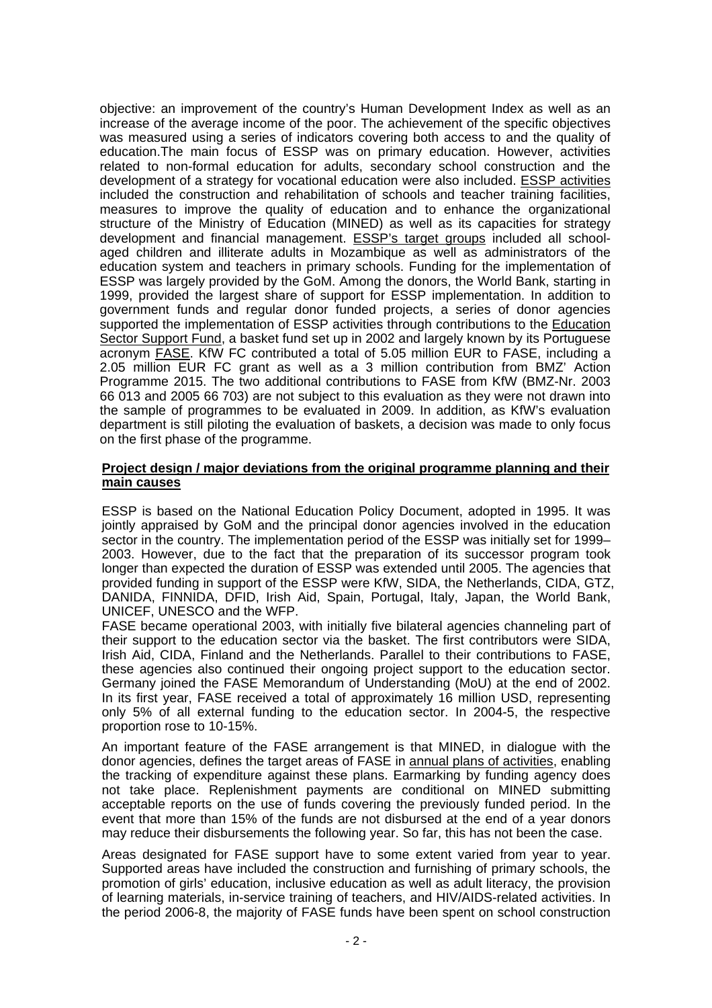objective: an improvement of the country's Human Development Index as well as an increase of the average income of the poor. The achievement of the specific objectives was measured using a series of indicators covering both access to and the quality of education.The main focus of ESSP was on primary education. However, activities related to non-formal education for adults, secondary school construction and the development of a strategy for vocational education were also included. ESSP activities included the construction and rehabilitation of schools and teacher training facilities, measures to improve the quality of education and to enhance the organizational structure of the Ministry of Education (MINED) as well as its capacities for strategy development and financial management. ESSP's target groups included all schoolaged children and illiterate adults in Mozambique as well as administrators of the education system and teachers in primary schools. Funding for the implementation of ESSP was largely provided by the GoM. Among the donors, the World Bank, starting in 1999, provided the largest share of support for ESSP implementation. In addition to government funds and regular donor funded projects, a series of donor agencies supported the implementation of ESSP activities through contributions to the Education Sector Support Fund, a basket fund set up in 2002 and largely known by its Portuguese acronym FASE. KfW FC contributed a total of 5.05 million EUR to FASE, including a 2.05 million EUR FC grant as well as a 3 million contribution from BMZ' Action Programme 2015. The two additional contributions to FASE from KfW (BMZ-Nr. 2003 66 013 and 2005 66 703) are not subject to this evaluation as they were not drawn into the sample of programmes to be evaluated in 2009. In addition, as KfW's evaluation department is still piloting the evaluation of baskets, a decision was made to only focus on the first phase of the programme.

# **Project design / major deviations from the original programme planning and their main causes**

ESSP is based on the National Education Policy Document, adopted in 1995. It was jointly appraised by GoM and the principal donor agencies involved in the education sector in the country. The implementation period of the ESSP was initially set for 1999– 2003. However, due to the fact that the preparation of its successor program took longer than expected the duration of ESSP was extended until 2005. The agencies that provided funding in support of the ESSP were KfW, SIDA, the Netherlands, CIDA, GTZ, DANIDA, FINNIDA, DFID, Irish Aid, Spain, Portugal, Italy, Japan, the World Bank, UNICEF, UNESCO and the WFP.

FASE became operational 2003, with initially five bilateral agencies channeling part of their support to the education sector via the basket. The first contributors were SIDA, Irish Aid, CIDA, Finland and the Netherlands. Parallel to their contributions to FASE, these agencies also continued their ongoing project support to the education sector. Germany joined the FASE Memorandum of Understanding (MoU) at the end of 2002. In its first year, FASE received a total of approximately 16 million USD, representing only 5% of all external funding to the education sector. In 2004-5, the respective proportion rose to 10-15%.

An important feature of the FASE arrangement is that MINED, in dialogue with the donor agencies, defines the target areas of FASE in annual plans of activities, enabling the tracking of expenditure against these plans. Earmarking by funding agency does not take place. Replenishment payments are conditional on MINED submitting acceptable reports on the use of funds covering the previously funded period. In the event that more than 15% of the funds are not disbursed at the end of a year donors may reduce their disbursements the following year. So far, this has not been the case.

Areas designated for FASE support have to some extent varied from year to year. Supported areas have included the construction and furnishing of primary schools, the promotion of girls' education, inclusive education as well as adult literacy, the provision of learning materials, in-service training of teachers, and HIV/AIDS-related activities. In the period 2006-8, the majority of FASE funds have been spent on school construction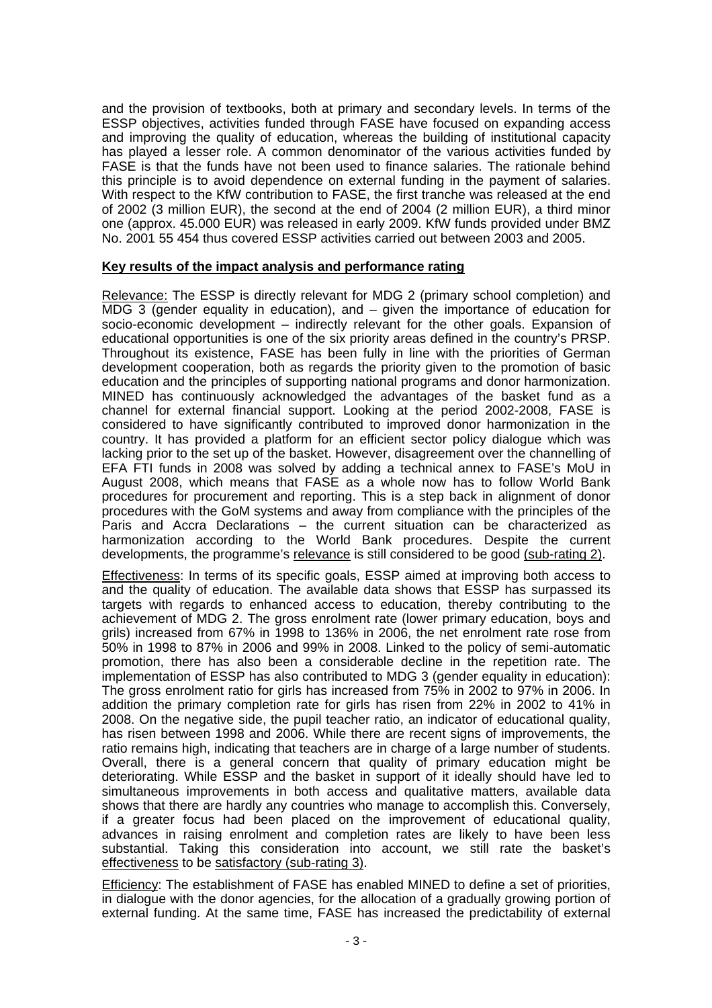and the provision of textbooks, both at primary and secondary levels. In terms of the ESSP objectives, activities funded through FASE have focused on expanding access and improving the quality of education, whereas the building of institutional capacity has played a lesser role. A common denominator of the various activities funded by FASE is that the funds have not been used to finance salaries. The rationale behind this principle is to avoid dependence on external funding in the payment of salaries. With respect to the KfW contribution to FASE, the first tranche was released at the end of 2002 (3 million EUR), the second at the end of 2004 (2 million EUR), a third minor one (approx. 45.000 EUR) was released in early 2009. KfW funds provided under BMZ No. 2001 55 454 thus covered ESSP activities carried out between 2003 and 2005.

# **Key results of the impact analysis and performance rating**

Relevance: The ESSP is directly relevant for MDG 2 (primary school completion) and MDG 3 (gender equality in education), and  $-$  given the importance of education for socio-economic development – indirectly relevant for the other goals. Expansion of educational opportunities is one of the six priority areas defined in the country's PRSP. Throughout its existence, FASE has been fully in line with the priorities of German development cooperation, both as regards the priority given to the promotion of basic education and the principles of supporting national programs and donor harmonization. MINED has continuously acknowledged the advantages of the basket fund as a channel for external financial support. Looking at the period 2002-2008, FASE is considered to have significantly contributed to improved donor harmonization in the country. It has provided a platform for an efficient sector policy dialogue which was lacking prior to the set up of the basket. However, disagreement over the channelling of EFA FTI funds in 2008 was solved by adding a technical annex to FASE's MoU in August 2008, which means that FASE as a whole now has to follow World Bank procedures for procurement and reporting. This is a step back in alignment of donor procedures with the GoM systems and away from compliance with the principles of the Paris and Accra Declarations – the current situation can be characterized as harmonization according to the World Bank procedures. Despite the current developments, the programme's relevance is still considered to be good (sub-rating 2).

Effectiveness: In terms of its specific goals, ESSP aimed at improving both access to and the quality of education. The available data shows that ESSP has surpassed its targets with regards to enhanced access to education, thereby contributing to the achievement of MDG 2. The gross enrolment rate (lower primary education, boys and grils) increased from 67% in 1998 to 136% in 2006, the net enrolment rate rose from 50% in 1998 to 87% in 2006 and 99% in 2008. Linked to the policy of semi-automatic promotion, there has also been a considerable decline in the repetition rate. The implementation of ESSP has also contributed to MDG 3 (gender equality in education): The gross enrolment ratio for girls has increased from 75% in 2002 to 97% in 2006. In addition the primary completion rate for girls has risen from 22% in 2002 to 41% in 2008. On the negative side, the pupil teacher ratio, an indicator of educational quality, has risen between 1998 and 2006. While there are recent signs of improvements, the ratio remains high, indicating that teachers are in charge of a large number of students. Overall, there is a general concern that quality of primary education might be deteriorating. While ESSP and the basket in support of it ideally should have led to simultaneous improvements in both access and qualitative matters, available data shows that there are hardly any countries who manage to accomplish this. Conversely, if a greater focus had been placed on the improvement of educational quality, advances in raising enrolment and completion rates are likely to have been less substantial. Taking this consideration into account, we still rate the basket's effectiveness to be satisfactory (sub-rating 3).

Efficiency: The establishment of FASE has enabled MINED to define a set of priorities, in dialogue with the donor agencies, for the allocation of a gradually growing portion of external funding. At the same time, FASE has increased the predictability of external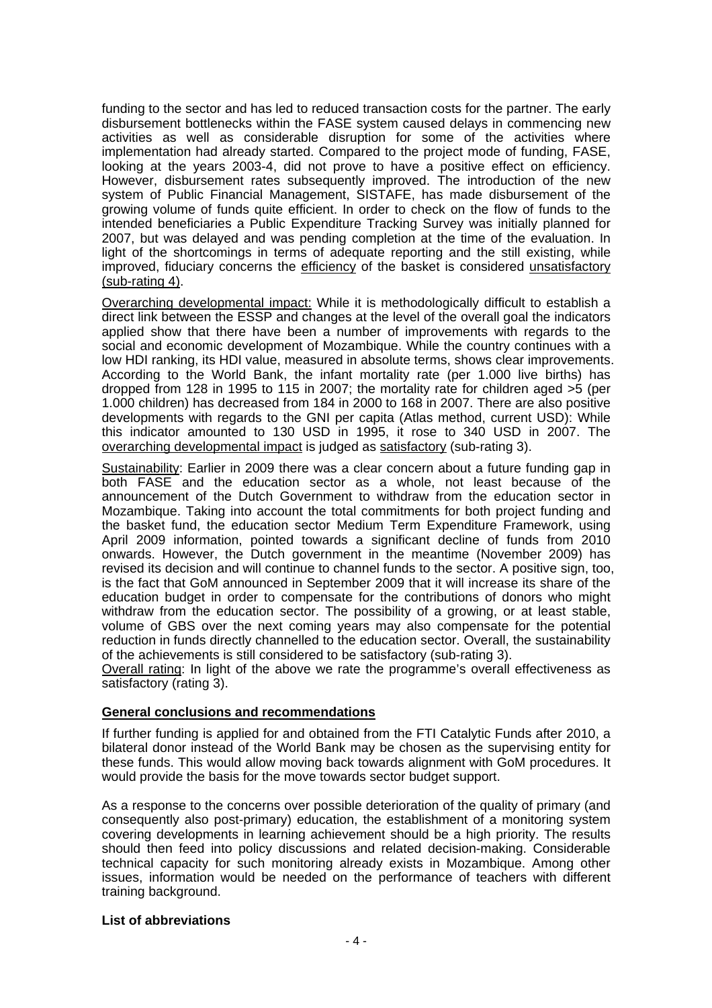funding to the sector and has led to reduced transaction costs for the partner. The early disbursement bottlenecks within the FASE system caused delays in commencing new activities as well as considerable disruption for some of the activities where implementation had already started. Compared to the project mode of funding, FASE, looking at the years 2003-4, did not prove to have a positive effect on efficiency. However, disbursement rates subsequently improved. The introduction of the new system of Public Financial Management, SISTAFE, has made disbursement of the growing volume of funds quite efficient. In order to check on the flow of funds to the intended beneficiaries a Public Expenditure Tracking Survey was initially planned for 2007, but was delayed and was pending completion at the time of the evaluation. In light of the shortcomings in terms of adequate reporting and the still existing, while improved, fiduciary concerns the efficiency of the basket is considered unsatisfactory (sub-rating 4).

Overarching developmental impact: While it is methodologically difficult to establish a direct link between the ESSP and changes at the level of the overall goal the indicators applied show that there have been a number of improvements with regards to the social and economic development of Mozambique. While the country continues with a low HDI ranking, its HDI value, measured in absolute terms, shows clear improvements. According to the World Bank, the infant mortality rate (per 1.000 live births) has dropped from 128 in 1995 to 115 in 2007; the mortality rate for children aged  $>5$  (per 1.000 children) has decreased from 184 in 2000 to 168 in 2007. There are also positive developments with regards to the GNI per capita (Atlas method, current USD): While this indicator amounted to 130 USD in 1995, it rose to 340 USD in 2007. The overarching developmental impact is judged as satisfactory (sub-rating 3).

Sustainability: Earlier in 2009 there was a clear concern about a future funding gap in both FASE and the education sector as a whole, not least because of the announcement of the Dutch Government to withdraw from the education sector in Mozambique. Taking into account the total commitments for both project funding and the basket fund, the education sector Medium Term Expenditure Framework, using April 2009 information, pointed towards a significant decline of funds from 2010 onwards. However, the Dutch government in the meantime (November 2009) has revised its decision and will continue to channel funds to the sector. A positive sign, too, is the fact that GoM announced in September 2009 that it will increase its share of the education budget in order to compensate for the contributions of donors who might withdraw from the education sector. The possibility of a growing, or at least stable, volume of GBS over the next coming years may also compensate for the potential reduction in funds directly channelled to the education sector. Overall, the sustainability of the achievements is still considered to be satisfactory (sub-rating 3).

Overall rating: In light of the above we rate the programme's overall effectiveness as satisfactory (rating 3).

# **General conclusions and recommendations**

If further funding is applied for and obtained from the FTI Catalytic Funds after 2010, a bilateral donor instead of the World Bank may be chosen as the supervising entity for these funds. This would allow moving back towards alignment with GoM procedures. It would provide the basis for the move towards sector budget support.

As a response to the concerns over possible deterioration of the quality of primary (and consequently also post-primary) education, the establishment of a monitoring system covering developments in learning achievement should be a high priority. The results should then feed into policy discussions and related decision-making. Considerable technical capacity for such monitoring already exists in Mozambique. Among other issues, information would be needed on the performance of teachers with different training background.

# **List of abbreviations**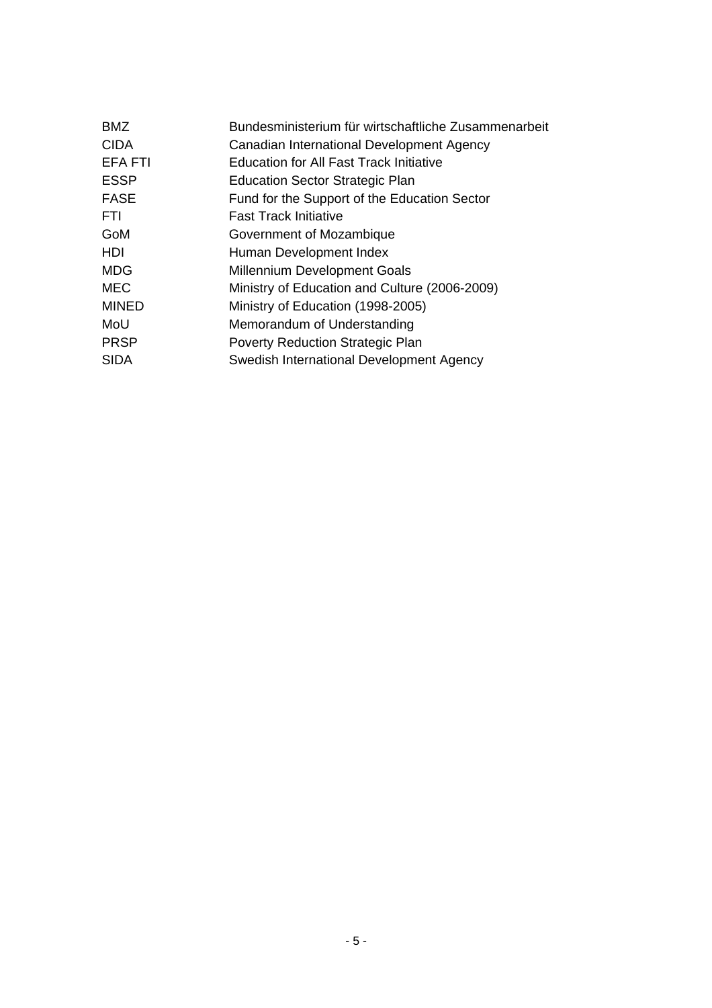| <b>BMZ</b>   | Bundesministerium für wirtschaftliche Zusammenarbeit |
|--------------|------------------------------------------------------|
| <b>CIDA</b>  | Canadian International Development Agency            |
| EFA FTI      | <b>Education for All Fast Track Initiative</b>       |
| <b>ESSP</b>  | <b>Education Sector Strategic Plan</b>               |
| <b>FASE</b>  | Fund for the Support of the Education Sector         |
| FTI.         | <b>Fast Track Initiative</b>                         |
| GoM          | Government of Mozambique                             |
| HDI          | Human Development Index                              |
| <b>MDG</b>   | <b>Millennium Development Goals</b>                  |
| <b>MEC</b>   | Ministry of Education and Culture (2006-2009)        |
| <b>MINED</b> | Ministry of Education (1998-2005)                    |
| MoU          | Memorandum of Understanding                          |
| <b>PRSP</b>  | <b>Poverty Reduction Strategic Plan</b>              |
| <b>SIDA</b>  | Swedish International Development Agency             |
|              |                                                      |